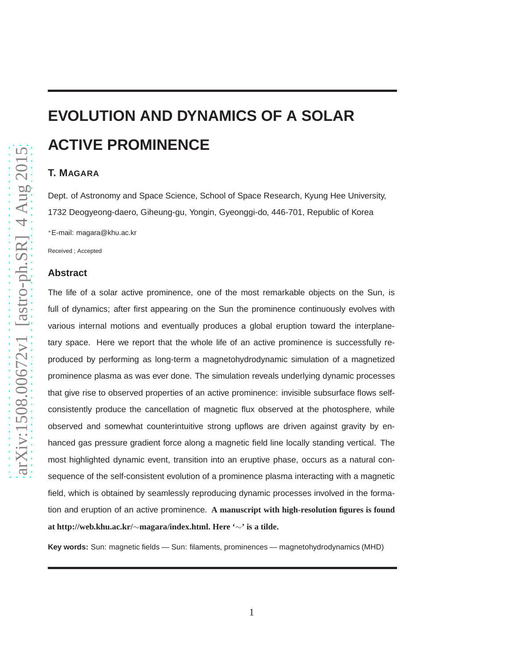# **EVOLUTION AND DYNAMICS OF A SOLAR ACTIVE PROMINENCE**

# **T. MAGARA**

Dept. of Astronomy and Space Science, School of Space Research, Kyung Hee University, 1732 Deogyeong-daero, Giheung-gu, Yongin, Gyeonggi-do, 446-701, Republic of Korea

<sup>∗</sup>E-mail: magara@khu.ac.kr

Received ; Accepted

#### **Abstract**

The life of a solar active prominence, one of the most remarkable objects on the Sun, is full of dynamics; after first appearing on the Sun the prominence continuously evolves with various internal motions and eventually produces a global eruption toward the interplanetary space. Here we report that the whole life of an active prominence is successfully reproduced by performing as long-term a magnetohydrodynamic simulation of a magnetized prominence plasma as was ever done. The simulation reveals underlying dynamic processes that give rise to observed properties of an active prominence: invisible subsurface flows selfconsistently produce the cancellation of magnetic flux observed at the photosphere, while observed and somewhat counterintuitive strong upflows are driven against gravity by enhanced gas pressure gradient force along a magnetic field line locally standing vertical. The most highlighted dynamic event, transition into an eruptive phase, occurs as a natural consequence of the self-consistent evolution of a prominence plasma interacting with a magnetic field, which is obtained by seamlessly reproducing dynamic processes involved in the formation and eruption of an active prominence. **A manuscript with high-resolution figures is found at http://web.khu.ac.kr/**∼**magara/index.html. Here '**∼**' is a tilde.**

**Key words:** Sun: magnetic fields — Sun: filaments, prominences — magnetohydrodynamics (MHD)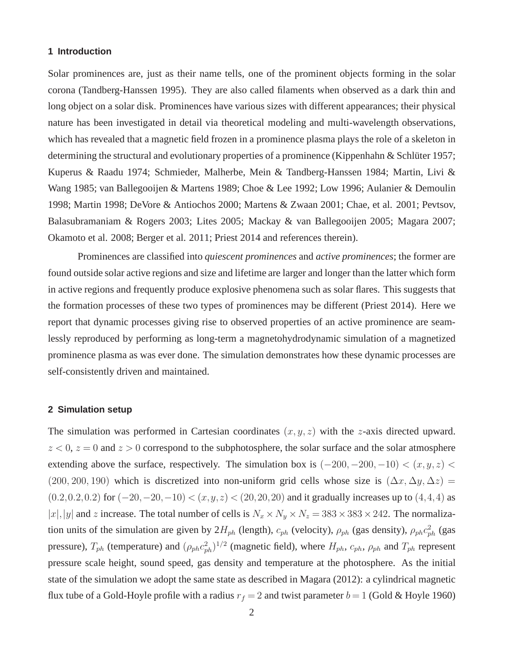#### **1 Introduction**

Solar prominences are, just as their name tells, one of the prominent objects forming in the solar corona (Tandberg-Hanssen 1995). They are also called filaments when observed as a dark thin and long object on a solar disk. Prominences have various sizes with different appearances; their physical nature has been investigated in detail via theoretical modeling and multi-wavelength observations, which has revealed that a magnetic field frozen in a prominence plasma plays the role of a skeleton in determining the structural and evolutionary properties of a prominence (Kippenhahn & Schlüter 1957; Kuperus & Raadu 1974; Schmieder, Malherbe, Mein & Tandberg-Hanssen 1984; Martin, Livi & Wang 1985; van Ballegooijen & Martens 1989; Choe & Lee 1992; Low 1996; Aulanier & Demoulin 1998; Martin 1998; DeVore & Antiochos 2000; Martens & Zwaan 2001; Chae, et al. 2001; Pevtsov, Balasubramaniam & Rogers 2003; Lites 2005; Mackay & van Ballegooijen 2005; Magara 2007; Okamoto et al. 2008; Berger et al. 2011; Priest 2014 and references therein).

Prominences are classified into *quiescent prominences* and *active prominences*; the former are found outside solar active regions and size and lifetime are larger and longer than the latter which form in active regions and frequently produce explosive phenomena such as solar flares. This suggests that the formation processes of these two types of prominences may be different (Priest 2014). Here we report that dynamic processes giving rise to observed properties of an active prominence are seamlessly reproduced by performing as long-term a magnetohydrodynamic simulation of a magnetized prominence plasma as was ever done. The simulation demonstrates how these dynamic processes are self-consistently driven and maintained.

#### **2 Simulation setup**

The simulation was performed in Cartesian coordinates  $(x, y, z)$  with the z-axis directed upward.  $z < 0$ ,  $z = 0$  and  $z > 0$  correspond to the subphotosphere, the solar surface and the solar atmosphere extending above the surface, respectively. The simulation box is  $(-200, -200, -10) < (x, y, z) <$ (200, 200, 190) which is discretized into non-uniform grid cells whose size is  $(\Delta x, \Delta y, \Delta z)$  =  $(0.2, 0.2, 0.2)$  for  $(-20, -20, -10) < (x, y, z) < (20, 20, 20)$  and it gradually increases up to  $(4, 4, 4)$  as |x|,|y| and z increase. The total number of cells is  $N_x \times N_y \times N_z = 383 \times 383 \times 242$ . The normalization units of the simulation are given by  $2H_{ph}$  (length),  $c_{ph}$  (velocity),  $\rho_{ph}$  (gas density),  $\rho_{ph}c_{ph}^2$  (gas pressure),  $T_{ph}$  (temperature) and  $(\rho_{ph}c_{ph}^2)^{1/2}$  (magnetic field), where  $H_{ph}$ ,  $c_{ph}$ ,  $\rho_{ph}$  and  $T_{ph}$  represent pressure scale height, sound speed, gas density and temperature at the photosphere. As the initial state of the simulation we adopt the same state as described in Magara (2012): a cylindrical magnetic flux tube of a Gold-Hoyle profile with a radius  $r_f = 2$  and twist parameter  $b = 1$  (Gold & Hoyle 1960)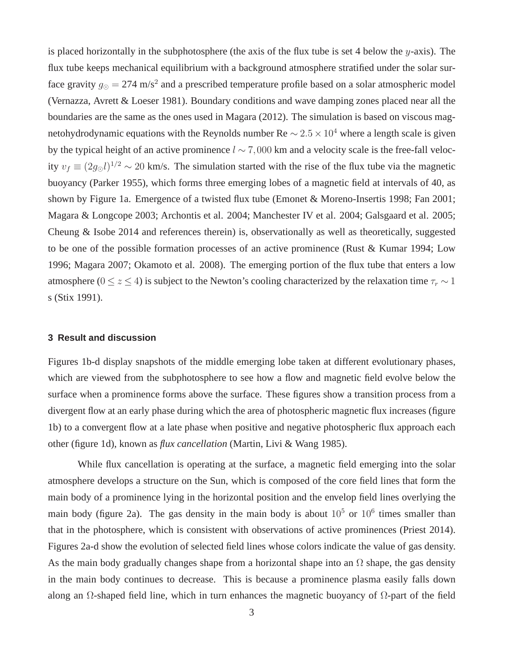is placed horizontally in the subphotosphere (the axis of the flux tube is set 4 below the  $y$ -axis). The flux tube keeps mechanical equilibrium with a background atmosphere stratified under the solar surface gravity  $g_{\odot} = 274$  m/s<sup>2</sup> and a prescribed temperature profile based on a solar atmospheric model (Vernazza, Avrett & Loeser 1981). Boundary conditions and wave damping zones placed near all the boundaries are the same as the ones used in Magara (2012). The simulation is based on viscous magnetohydrodynamic equations with the Reynolds number Re  $\sim 2.5 \times 10^4$  where a length scale is given by the typical height of an active prominence l ∼ 7,000 km and a velocity scale is the free-fall velocity  $v_f \equiv (2g_{\odot}l)^{1/2} \sim 20$  km/s. The simulation started with the rise of the flux tube via the magnetic buoyancy (Parker 1955), which forms three emerging lobes of a magnetic field at intervals of 40, as shown by Figure 1a. Emergence of a twisted flux tube (Emonet & Moreno-Insertis 1998; Fan 2001; Magara & Longcope 2003; Archontis et al. 2004; Manchester IV et al. 2004; Galsgaard et al. 2005; Cheung & Isobe 2014 and references therein) is, observationally as well as theoretically, suggested to be one of the possible formation processes of an active prominence (Rust & Kumar 1994; Low 1996; Magara 2007; Okamoto et al. 2008). The emerging portion of the flux tube that enters a low atmosphere ( $0 \le z \le 4$ ) is subject to the Newton's cooling characterized by the relaxation time  $\tau_r \sim 1$ s (Stix 1991).

# **3 Result and discussion**

Figures 1b-d display snapshots of the middle emerging lobe taken at different evolutionary phases, which are viewed from the subphotosphere to see how a flow and magnetic field evolve below the surface when a prominence forms above the surface. These figures show a transition process from a divergent flow at an early phase during which the area of photospheric magnetic flux increases (figure 1b) to a convergent flow at a late phase when positive and negative photospheric flux approach each other (figure 1d), known as *flux cancellation* (Martin, Livi & Wang 1985).

While flux cancellation is operating at the surface, a magnetic field emerging into the solar atmosphere develops a structure on the Sun, which is composed of the core field lines that form the main body of a prominence lying in the horizontal position and the envelop field lines overlying the main body (figure 2a). The gas density in the main body is about  $10^5$  or  $10^6$  times smaller than that in the photosphere, which is consistent with observations of active prominences (Priest 2014). Figures 2a-d show the evolution of selected field lines whose colors indicate the value of gas density. As the main body gradually changes shape from a horizontal shape into an  $\Omega$  shape, the gas density in the main body continues to decrease. This is because a prominence plasma easily falls down along an  $\Omega$ -shaped field line, which in turn enhances the magnetic buoyancy of  $\Omega$ -part of the field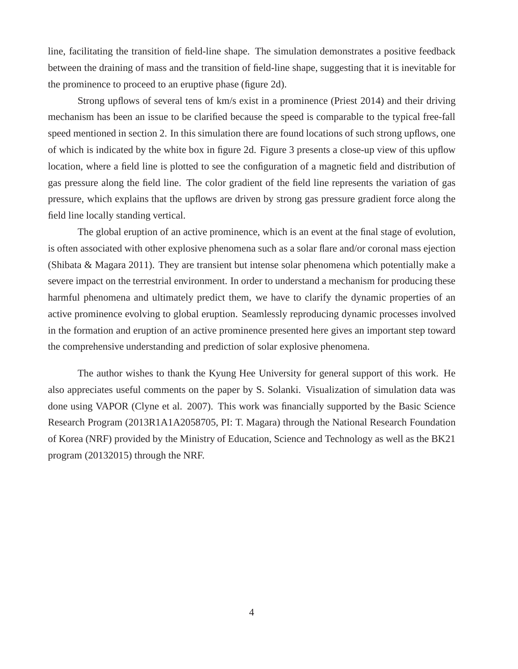line, facilitating the transition of field-line shape. The simulation demonstrates a positive feedback between the draining of mass and the transition of field-line shape, suggesting that it is inevitable for the prominence to proceed to an eruptive phase (figure 2d).

Strong upflows of several tens of km/s exist in a prominence (Priest 2014) and their driving mechanism has been an issue to be clarified because the speed is comparable to the typical free-fall speed mentioned in section 2. In this simulation there are found locations of such strong upflows, one of which is indicated by the white box in figure 2d. Figure 3 presents a close-up view of this upflow location, where a field line is plotted to see the configuration of a magnetic field and distribution of gas pressure along the field line. The color gradient of the field line represents the variation of gas pressure, which explains that the upflows are driven by strong gas pressure gradient force along the field line locally standing vertical.

The global eruption of an active prominence, which is an event at the final stage of evolution, is often associated with other explosive phenomena such as a solar flare and/or coronal mass ejection (Shibata & Magara 2011). They are transient but intense solar phenomena which potentially make a severe impact on the terrestrial environment. In order to understand a mechanism for producing these harmful phenomena and ultimately predict them, we have to clarify the dynamic properties of an active prominence evolving to global eruption. Seamlessly reproducing dynamic processes involved in the formation and eruption of an active prominence presented here gives an important step toward the comprehensive understanding and prediction of solar explosive phenomena.

The author wishes to thank the Kyung Hee University for general support of this work. He also appreciates useful comments on the paper by S. Solanki. Visualization of simulation data was done using VAPOR (Clyne et al. 2007). This work was financially supported by the Basic Science Research Program (2013R1A1A2058705, PI: T. Magara) through the National Research Foundation of Korea (NRF) provided by the Ministry of Education, Science and Technology as well as the BK21 program (20132015) through the NRF.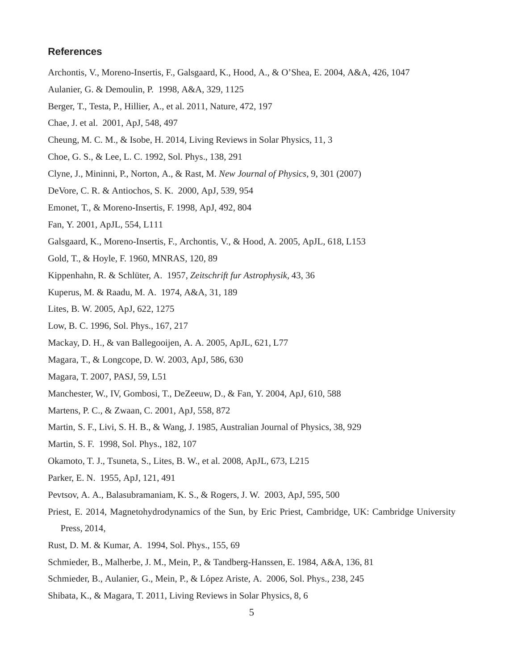### **References**

- Archontis, V., Moreno-Insertis, F., Galsgaard, K., Hood, A., & O'Shea, E. 2004, A&A, 426, 1047
- Aulanier, G. & Demoulin, P. 1998, A&A, 329, 1125
- Berger, T., Testa, P., Hillier, A., et al. 2011, Nature, 472, 197
- Chae, J. et al. 2001, ApJ, 548, 497
- Cheung, M. C. M., & Isobe, H. 2014, Living Reviews in Solar Physics, 11, 3
- Choe, G. S., & Lee, L. C. 1992, Sol. Phys., 138, 291
- Clyne, J., Mininni, P., Norton, A., & Rast, M. *New Journal of Physics*, 9, 301 (2007)
- DeVore, C. R. & Antiochos, S. K. 2000, ApJ, 539, 954
- Emonet, T., & Moreno-Insertis, F. 1998, ApJ, 492, 804
- Fan, Y. 2001, ApJL, 554, L111
- Galsgaard, K., Moreno-Insertis, F., Archontis, V., & Hood, A. 2005, ApJL, 618, L153
- Gold, T., & Hoyle, F. 1960, MNRAS, 120, 89
- Kippenhahn, R. & Schlüter, A. 1957, *Zeitschrift fur Astrophysik*, 43, 36
- Kuperus, M. & Raadu, M. A. 1974, A&A, 31, 189
- Lites, B. W. 2005, ApJ, 622, 1275
- Low, B. C. 1996, Sol. Phys., 167, 217
- Mackay, D. H., & van Ballegooijen, A. A. 2005, ApJL, 621, L77
- Magara, T., & Longcope, D. W. 2003, ApJ, 586, 630
- Magara, T. 2007, PASJ, 59, L51
- Manchester, W., IV, Gombosi, T., DeZeeuw, D., & Fan, Y. 2004, ApJ, 610, 588
- Martens, P. C., & Zwaan, C. 2001, ApJ, 558, 872
- Martin, S. F., Livi, S. H. B., & Wang, J. 1985, Australian Journal of Physics, 38, 929
- Martin, S. F. 1998, Sol. Phys., 182, 107
- Okamoto, T. J., Tsuneta, S., Lites, B. W., et al. 2008, ApJL, 673, L215
- Parker, E. N. 1955, ApJ, 121, 491
- Pevtsov, A. A., Balasubramaniam, K. S., & Rogers, J. W. 2003, ApJ, 595, 500
- Priest, E. 2014, Magnetohydrodynamics of the Sun, by Eric Priest, Cambridge, UK: Cambridge University Press, 2014,
- Rust, D. M. & Kumar, A. 1994, Sol. Phys., 155, 69
- Schmieder, B., Malherbe, J. M., Mein, P., & Tandberg-Hanssen, E. 1984, A&A, 136, 81
- Schmieder, B., Aulanier, G., Mein, P., & López Ariste, A. 2006, Sol. Phys., 238, 245
- Shibata, K., & Magara, T. 2011, Living Reviews in Solar Physics, 8, 6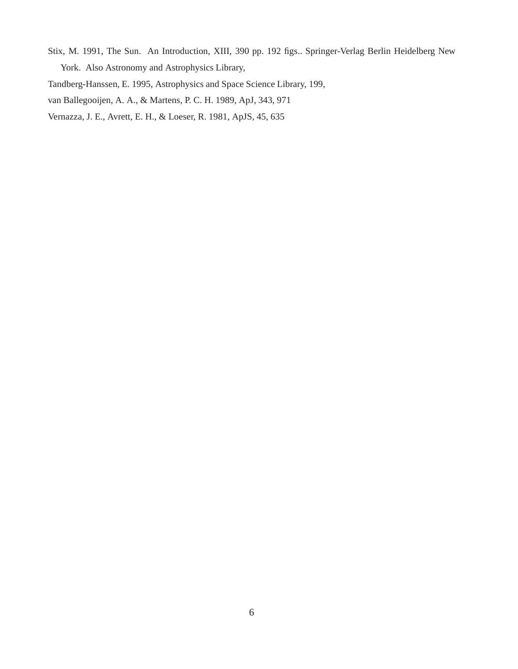Stix, M. 1991, The Sun. An Introduction, XIII, 390 pp. 192 figs.. Springer-Verlag Berlin Heidelberg New York. Also Astronomy and Astrophysics Library,

Tandberg-Hanssen, E. 1995, Astrophysics and Space Science Library, 199,

van Ballegooijen, A. A., & Martens, P. C. H. 1989, ApJ, 343, 971

Vernazza, J. E., Avrett, E. H., & Loeser, R. 1981, ApJS, 45, 635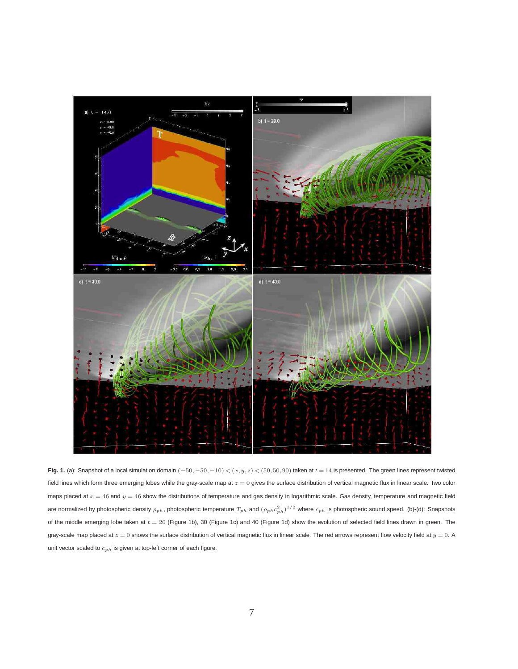

**Fig. 1.** (a): Snapshot of a local simulation domain  $(-50, -50, -10) < (x, y, z) < (50, 50, 90)$  taken at  $t = 14$  is presented. The green lines represent twisted field lines which form three emerging lobes while the gray-scale map at  $z = 0$  gives the surface distribution of vertical magnetic flux in linear scale. Two color maps placed at  $x = 46$  and  $y = 46$  show the distributions of temperature and gas density in logarithmic scale. Gas density, temperature and magnetic field are normalized by photospheric density  $\rho_{ph}$ , photospheric temperature  $T_{ph}$  and  $(\rho_{ph}c_{ph}^2)^{1/2}$  where  $c_{ph}$  is photospheric sound speed. (b)-(d): Snapshots of the middle emerging lobe taken at  $t = 20$  (Figure 1b), 30 (Figure 1c) and 40 (Figure 1d) show the evolution of selected field lines drawn in green. The gray-scale map placed at  $z = 0$  shows the surface distribution of vertical magnetic flux in linear scale. The red arrows represent flow velocity field at  $y = 0$ . A unit vector scaled to  $c_{ph}$  is given at top-left corner of each figure.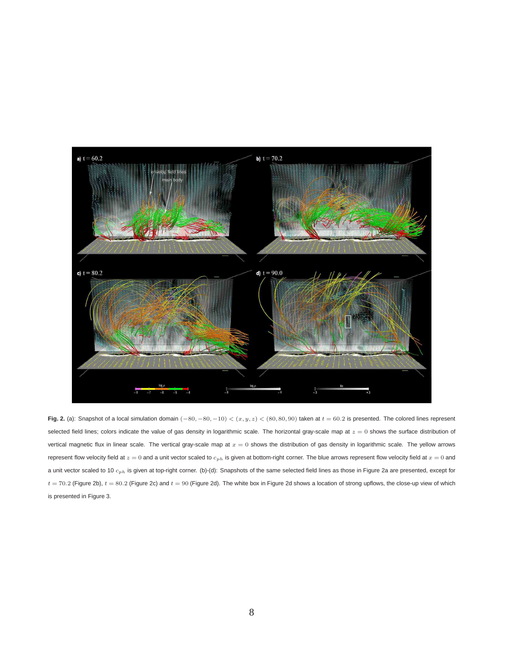

**Fig. 2.** (a): Snapshot of a local simulation domain  $(-80, -80, -10) < (x, y, z) < (80, 80, 90)$  taken at  $t = 60.2$  is presented. The colored lines represent selected field lines; colors indicate the value of gas density in logarithmic scale. The horizontal gray-scale map at  $z = 0$  shows the surface distribution of vertical magnetic flux in linear scale. The vertical gray-scale map at  $x = 0$  shows the distribution of gas density in logarithmic scale. The yellow arrows represent flow velocity field at  $z = 0$  and a unit vector scaled to  $c_{ph}$  is given at bottom-right corner. The blue arrows represent flow velocity field at  $x = 0$  and a unit vector scaled to 10  $c_{ph}$  is given at top-right corner. (b)-(d): Snapshots of the same selected field lines as those in Figure 2a are presented, except for  $t = 70.2$  (Figure 2b),  $t = 80.2$  (Figure 2c) and  $t = 90$  (Figure 2d). The white box in Figure 2d shows a location of strong upflows, the close-up view of which is presented in Figure 3.